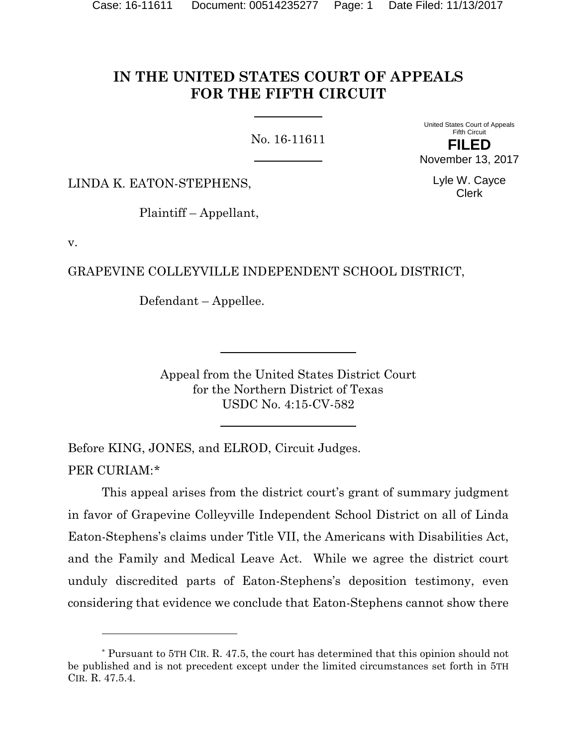# **IN THE UNITED STATES COURT OF APPEALS FOR THE FIFTH CIRCUIT**

No. 16-11611

United States Court of Appeals Fifth Circuit **FILED** November 13, 2017

> Lyle W. Cayce Clerk

LINDA K. EATON-STEPHENS,

Plaintiff – Appellant,

v.

l

GRAPEVINE COLLEYVILLE INDEPENDENT SCHOOL DISTRICT,

Defendant – Appellee.

Appeal from the United States District Court for the Northern District of Texas USDC No. 4:15-CV-582

Before KING, JONES, and ELROD, Circuit Judges. PER CURIAM:\*

This appeal arises from the district court's grant of summary judgment in favor of Grapevine Colleyville Independent School District on all of Linda Eaton-Stephens's claims under Title VII, the Americans with Disabilities Act, and the Family and Medical Leave Act. While we agree the district court unduly discredited parts of Eaton-Stephens's deposition testimony, even considering that evidence we conclude that Eaton-Stephens cannot show there

<sup>\*</sup> Pursuant to 5TH CIR. R. 47.5, the court has determined that this opinion should not be published and is not precedent except under the limited circumstances set forth in 5TH CIR. R. 47.5.4.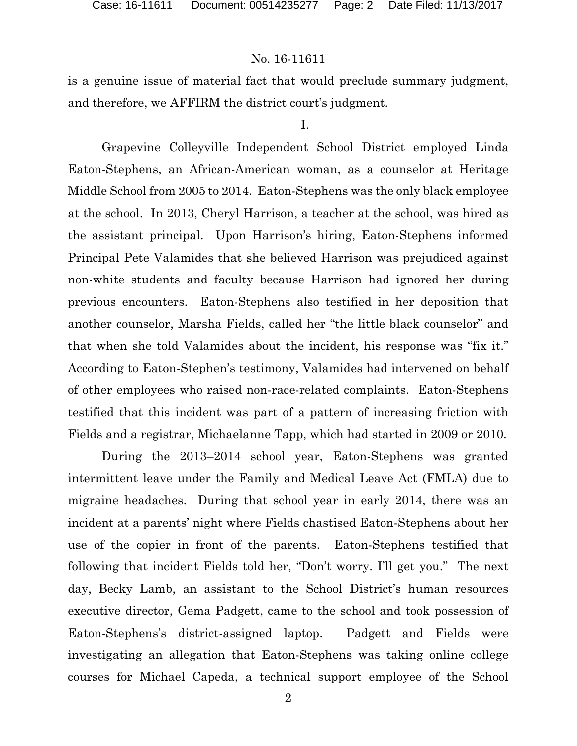is a genuine issue of material fact that would preclude summary judgment, and therefore, we AFFIRM the district court's judgment.

#### I.

Grapevine Colleyville Independent School District employed Linda Eaton-Stephens, an African-American woman, as a counselor at Heritage Middle School from 2005 to 2014. Eaton-Stephens was the only black employee at the school. In 2013, Cheryl Harrison, a teacher at the school, was hired as the assistant principal. Upon Harrison's hiring, Eaton-Stephens informed Principal Pete Valamides that she believed Harrison was prejudiced against non-white students and faculty because Harrison had ignored her during previous encounters. Eaton-Stephens also testified in her deposition that another counselor, Marsha Fields, called her "the little black counselor" and that when she told Valamides about the incident, his response was "fix it." According to Eaton-Stephen's testimony, Valamides had intervened on behalf of other employees who raised non-race-related complaints. Eaton-Stephens testified that this incident was part of a pattern of increasing friction with Fields and a registrar, Michaelanne Tapp, which had started in 2009 or 2010.

During the 2013–2014 school year, Eaton-Stephens was granted intermittent leave under the Family and Medical Leave Act (FMLA) due to migraine headaches. During that school year in early 2014, there was an incident at a parents' night where Fields chastised Eaton-Stephens about her use of the copier in front of the parents. Eaton-Stephens testified that following that incident Fields told her, "Don't worry. I'll get you." The next day, Becky Lamb, an assistant to the School District's human resources executive director, Gema Padgett, came to the school and took possession of Eaton-Stephens's district-assigned laptop. Padgett and Fields were investigating an allegation that Eaton-Stephens was taking online college courses for Michael Capeda, a technical support employee of the School

2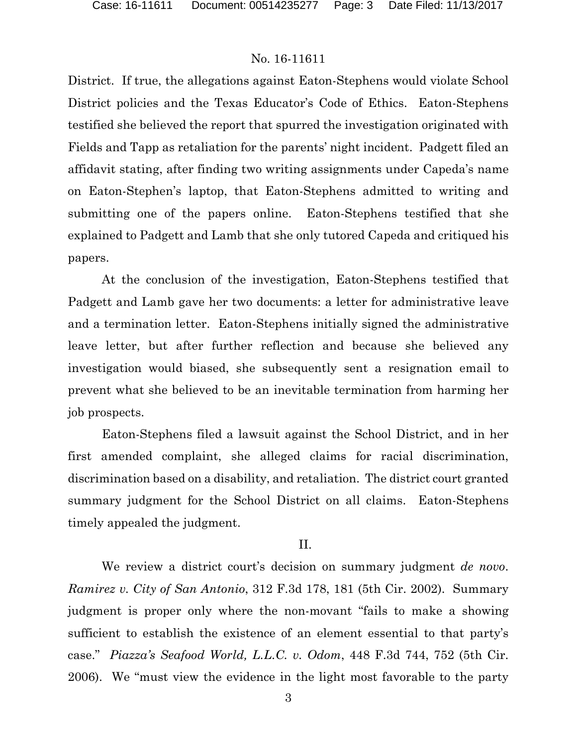District. If true, the allegations against Eaton-Stephens would violate School District policies and the Texas Educator's Code of Ethics. Eaton-Stephens testified she believed the report that spurred the investigation originated with Fields and Tapp as retaliation for the parents' night incident. Padgett filed an affidavit stating, after finding two writing assignments under Capeda's name on Eaton-Stephen's laptop, that Eaton-Stephens admitted to writing and submitting one of the papers online. Eaton-Stephens testified that she explained to Padgett and Lamb that she only tutored Capeda and critiqued his papers.

At the conclusion of the investigation, Eaton-Stephens testified that Padgett and Lamb gave her two documents: a letter for administrative leave and a termination letter. Eaton-Stephens initially signed the administrative leave letter, but after further reflection and because she believed any investigation would biased, she subsequently sent a resignation email to prevent what she believed to be an inevitable termination from harming her job prospects.

Eaton-Stephens filed a lawsuit against the School District, and in her first amended complaint, she alleged claims for racial discrimination, discrimination based on a disability, and retaliation. The district court granted summary judgment for the School District on all claims. Eaton-Stephens timely appealed the judgment.

## II.

We review a district court's decision on summary judgment *de novo*. *Ramirez v. City of San Antonio*, 312 F.3d 178, 181 (5th Cir. 2002). Summary judgment is proper only where the non-movant "fails to make a showing sufficient to establish the existence of an element essential to that party's case." *Piazza's Seafood World, L.L.C. v. Odom*, 448 F.3d 744, 752 (5th Cir. 2006). We "must view the evidence in the light most favorable to the party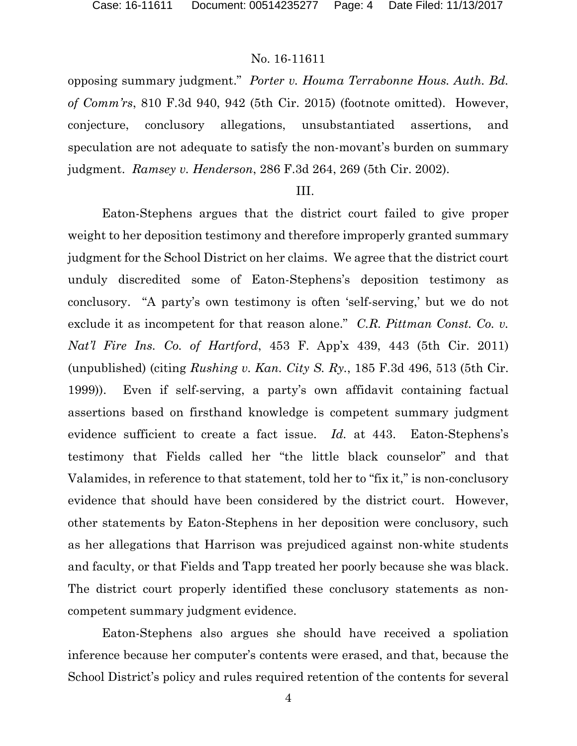opposing summary judgment." *Porter v. Houma Terrabonne Hous. Auth. Bd. of Comm'rs*, 810 F.3d 940, 942 (5th Cir. 2015) (footnote omitted). However, conjecture, conclusory allegations, unsubstantiated assertions, and speculation are not adequate to satisfy the non-movant's burden on summary judgment. *Ramsey v. Henderson*, 286 F.3d 264, 269 (5th Cir. 2002).

#### III.

Eaton-Stephens argues that the district court failed to give proper weight to her deposition testimony and therefore improperly granted summary judgment for the School District on her claims. We agree that the district court unduly discredited some of Eaton-Stephens's deposition testimony as conclusory. "A party's own testimony is often 'self-serving,' but we do not exclude it as incompetent for that reason alone." *C.R. Pittman Const. Co. v. Nat'l Fire Ins. Co. of Hartford*, 453 F. App'x 439, 443 (5th Cir. 2011) (unpublished) (citing *Rushing v. Kan. City S. Ry.*, 185 F.3d 496, 513 (5th Cir. 1999)). Even if self-serving, a party's own affidavit containing factual assertions based on firsthand knowledge is competent summary judgment evidence sufficient to create a fact issue. *Id.* at 443. Eaton-Stephens's testimony that Fields called her "the little black counselor" and that Valamides, in reference to that statement, told her to "fix it," is non-conclusory evidence that should have been considered by the district court. However, other statements by Eaton-Stephens in her deposition were conclusory, such as her allegations that Harrison was prejudiced against non-white students and faculty, or that Fields and Tapp treated her poorly because she was black. The district court properly identified these conclusory statements as noncompetent summary judgment evidence.

Eaton-Stephens also argues she should have received a spoliation inference because her computer's contents were erased, and that, because the School District's policy and rules required retention of the contents for several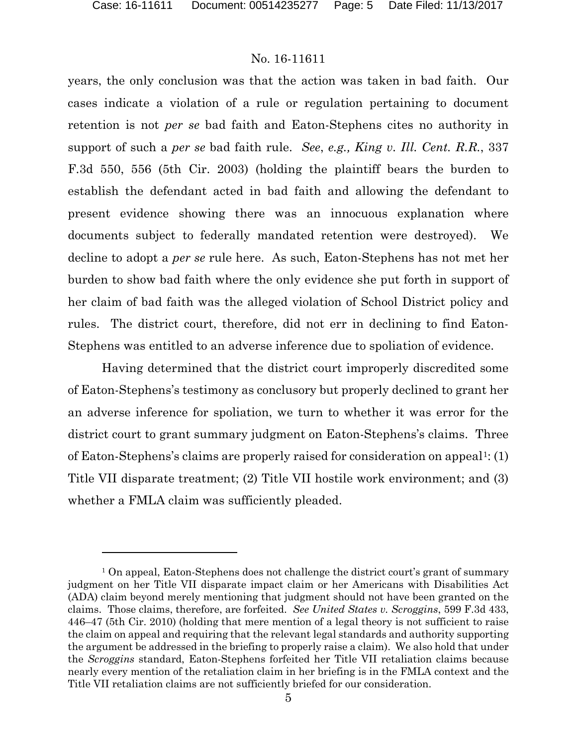$\overline{a}$ 

## No. 16-11611

years, the only conclusion was that the action was taken in bad faith. Our cases indicate a violation of a rule or regulation pertaining to document retention is not *per se* bad faith and Eaton-Stephens cites no authority in support of such a *per se* bad faith rule. *See*, *e.g., King v. Ill. Cent. R.R.*, 337 F.3d 550, 556 (5th Cir. 2003) (holding the plaintiff bears the burden to establish the defendant acted in bad faith and allowing the defendant to present evidence showing there was an innocuous explanation where documents subject to federally mandated retention were destroyed). We decline to adopt a *per se* rule here. As such, Eaton-Stephens has not met her burden to show bad faith where the only evidence she put forth in support of her claim of bad faith was the alleged violation of School District policy and rules. The district court, therefore, did not err in declining to find Eaton-Stephens was entitled to an adverse inference due to spoliation of evidence.

Having determined that the district court improperly discredited some of Eaton-Stephens's testimony as conclusory but properly declined to grant her an adverse inference for spoliation, we turn to whether it was error for the district court to grant summary judgment on Eaton-Stephens's claims. Three of Eaton-Stephens's claims are properly raised for consideration on appeal<sup>1</sup>: (1) Title VII disparate treatment; (2) Title VII hostile work environment; and (3) whether a FMLA claim was sufficiently pleaded.

<sup>&</sup>lt;sup>1</sup> On appeal, Eaton-Stephens does not challenge the district court's grant of summary judgment on her Title VII disparate impact claim or her Americans with Disabilities Act (ADA) claim beyond merely mentioning that judgment should not have been granted on the claims. Those claims, therefore, are forfeited. *See United States v. Scroggins*, 599 F.3d 433, 446–47 (5th Cir. 2010) (holding that mere mention of a legal theory is not sufficient to raise the claim on appeal and requiring that the relevant legal standards and authority supporting the argument be addressed in the briefing to properly raise a claim). We also hold that under the *Scroggins* standard, Eaton-Stephens forfeited her Title VII retaliation claims because nearly every mention of the retaliation claim in her briefing is in the FMLA context and the Title VII retaliation claims are not sufficiently briefed for our consideration.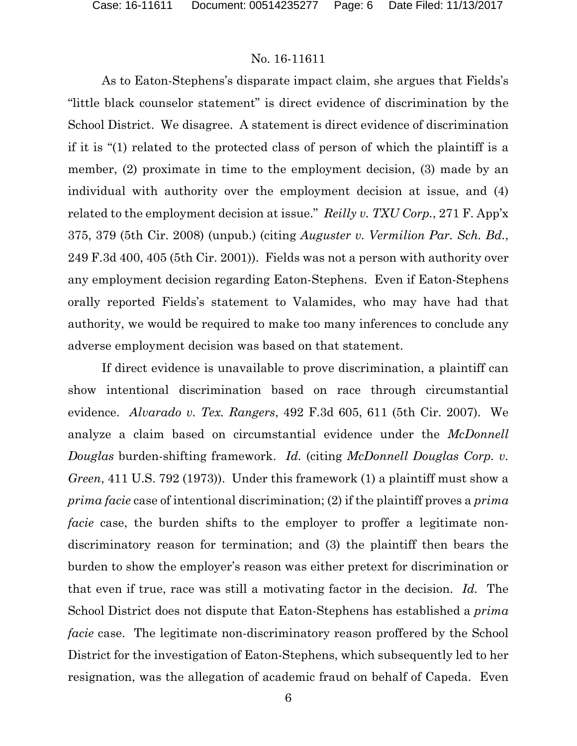As to Eaton-Stephens's disparate impact claim, she argues that Fields's "little black counselor statement" is direct evidence of discrimination by the School District. We disagree. A statement is direct evidence of discrimination if it is "(1) related to the protected class of person of which the plaintiff is a member, (2) proximate in time to the employment decision, (3) made by an individual with authority over the employment decision at issue, and (4) related to the employment decision at issue." *Reilly v. TXU Corp.*, 271 F. App'x 375, 379 (5th Cir. 2008) (unpub.) (citing *Auguster v. Vermilion Par. Sch. Bd.*, 249 F.3d 400, 405 (5th Cir. 2001)). Fields was not a person with authority over any employment decision regarding Eaton-Stephens. Even if Eaton-Stephens orally reported Fields's statement to Valamides, who may have had that authority, we would be required to make too many inferences to conclude any adverse employment decision was based on that statement.

If direct evidence is unavailable to prove discrimination, a plaintiff can show intentional discrimination based on race through circumstantial evidence. *Alvarado v. Tex. Rangers*, 492 F.3d 605, 611 (5th Cir. 2007). We analyze a claim based on circumstantial evidence under the *McDonnell Douglas* burden-shifting framework. *Id.* (citing *McDonnell Douglas Corp. v. Green*, 411 U.S. 792 (1973)). Under this framework (1) a plaintiff must show a *prima facie* case of intentional discrimination; (2) if the plaintiff proves a *prima facie* case, the burden shifts to the employer to proffer a legitimate nondiscriminatory reason for termination; and (3) the plaintiff then bears the burden to show the employer's reason was either pretext for discrimination or that even if true, race was still a motivating factor in the decision. *Id.* The School District does not dispute that Eaton-Stephens has established a *prima facie* case. The legitimate non-discriminatory reason proffered by the School District for the investigation of Eaton-Stephens, which subsequently led to her resignation, was the allegation of academic fraud on behalf of Capeda. Even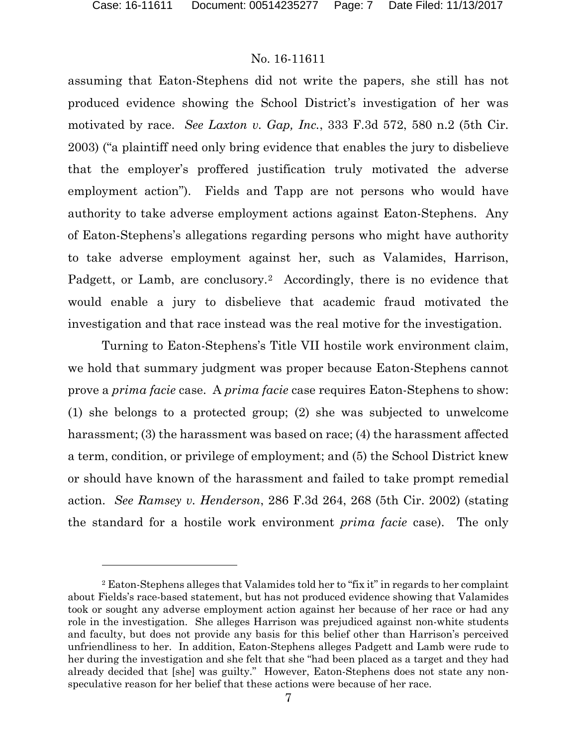$\overline{a}$ 

## No. 16-11611

assuming that Eaton-Stephens did not write the papers, she still has not produced evidence showing the School District's investigation of her was motivated by race. *See Laxton v. Gap, Inc.*, 333 F.3d 572, 580 n.2 (5th Cir. 2003) ("a plaintiff need only bring evidence that enables the jury to disbelieve that the employer's proffered justification truly motivated the adverse employment action"). Fields and Tapp are not persons who would have authority to take adverse employment actions against Eaton-Stephens. Any of Eaton-Stephens's allegations regarding persons who might have authority to take adverse employment against her, such as Valamides, Harrison, Padgett, or Lamb, are conclusory.<sup>2</sup> Accordingly, there is no evidence that would enable a jury to disbelieve that academic fraud motivated the investigation and that race instead was the real motive for the investigation.

Turning to Eaton-Stephens's Title VII hostile work environment claim, we hold that summary judgment was proper because Eaton-Stephens cannot prove a *prima facie* case. A *prima facie* case requires Eaton-Stephens to show: (1) she belongs to a protected group; (2) she was subjected to unwelcome harassment; (3) the harassment was based on race; (4) the harassment affected a term, condition, or privilege of employment; and (5) the School District knew or should have known of the harassment and failed to take prompt remedial action. *See Ramsey v. Henderson*, 286 F.3d 264, 268 (5th Cir. 2002) (stating the standard for a hostile work environment *prima facie* case). The only

<sup>2</sup> Eaton-Stephens alleges that Valamides told her to "fix it" in regards to her complaint about Fields's race-based statement, but has not produced evidence showing that Valamides took or sought any adverse employment action against her because of her race or had any role in the investigation. She alleges Harrison was prejudiced against non-white students and faculty, but does not provide any basis for this belief other than Harrison's perceived unfriendliness to her. In addition, Eaton-Stephens alleges Padgett and Lamb were rude to her during the investigation and she felt that she "had been placed as a target and they had already decided that [she] was guilty." However, Eaton-Stephens does not state any nonspeculative reason for her belief that these actions were because of her race.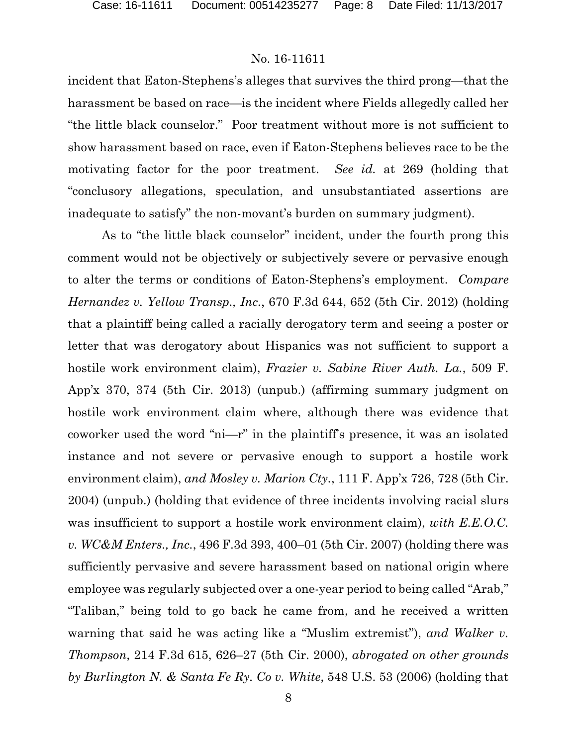incident that Eaton-Stephens's alleges that survives the third prong—that the harassment be based on race—is the incident where Fields allegedly called her "the little black counselor." Poor treatment without more is not sufficient to show harassment based on race, even if Eaton-Stephens believes race to be the motivating factor for the poor treatment. *See id.* at 269 (holding that "conclusory allegations, speculation, and unsubstantiated assertions are inadequate to satisfy" the non-movant's burden on summary judgment).

As to "the little black counselor" incident, under the fourth prong this comment would not be objectively or subjectively severe or pervasive enough to alter the terms or conditions of Eaton-Stephens's employment. *Compare Hernandez v. Yellow Transp., Inc.*, 670 F.3d 644, 652 (5th Cir. 2012) (holding that a plaintiff being called a racially derogatory term and seeing a poster or letter that was derogatory about Hispanics was not sufficient to support a hostile work environment claim), *Frazier v. Sabine River Auth. La.*, 509 F. App'x 370, 374 (5th Cir. 2013) (unpub.) (affirming summary judgment on hostile work environment claim where, although there was evidence that coworker used the word "ni—r" in the plaintiff's presence, it was an isolated instance and not severe or pervasive enough to support a hostile work environment claim), *and Mosley v. Marion Cty.*, 111 F. App'x 726, 728 (5th Cir. 2004) (unpub.) (holding that evidence of three incidents involving racial slurs was insufficient to support a hostile work environment claim), *with E.E.O.C. v. WC&M Enters., Inc.*, 496 F.3d 393, 400–01 (5th Cir. 2007) (holding there was sufficiently pervasive and severe harassment based on national origin where employee was regularly subjected over a one-year period to being called "Arab," "Taliban," being told to go back he came from, and he received a written warning that said he was acting like a "Muslim extremist"), *and Walker v. Thompson*, 214 F.3d 615, 626–27 (5th Cir. 2000), *abrogated on other grounds by Burlington N. & Santa Fe Ry. Co v. White*, 548 U.S. 53 (2006) (holding that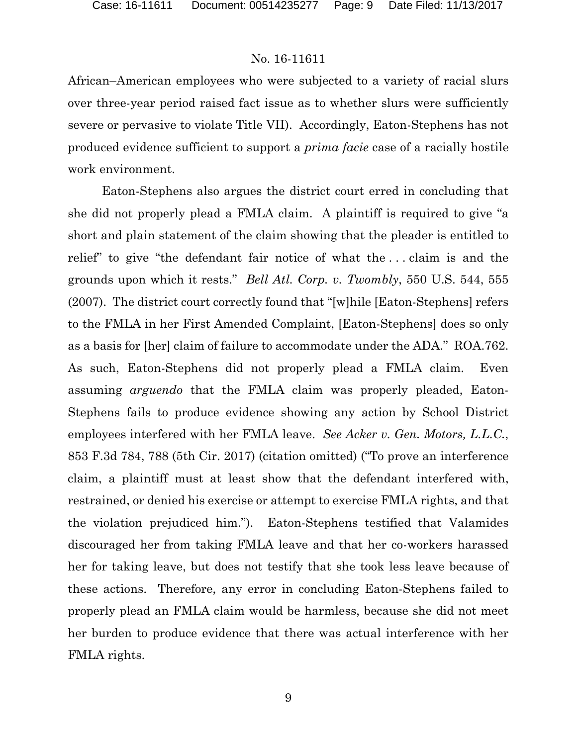African–American employees who were subjected to a variety of racial slurs over three-year period raised fact issue as to whether slurs were sufficiently severe or pervasive to violate Title VII). Accordingly, Eaton-Stephens has not produced evidence sufficient to support a *prima facie* case of a racially hostile work environment.

Eaton-Stephens also argues the district court erred in concluding that she did not properly plead a FMLA claim. A plaintiff is required to give "a short and plain statement of the claim showing that the pleader is entitled to relief" to give "the defendant fair notice of what the . . . claim is and the grounds upon which it rests." *Bell Atl. Corp. v. Twombly*, 550 U.S. 544, 555 (2007). The district court correctly found that "[w]hile [Eaton-Stephens] refers to the FMLA in her First Amended Complaint, [Eaton-Stephens] does so only as a basis for [her] claim of failure to accommodate under the ADA." ROA.762. As such, Eaton-Stephens did not properly plead a FMLA claim. Even assuming *arguendo* that the FMLA claim was properly pleaded, Eaton-Stephens fails to produce evidence showing any action by School District employees interfered with her FMLA leave. *See Acker v. Gen. Motors, L.L.C.*, 853 F.3d 784, 788 (5th Cir. 2017) (citation omitted) ("To prove an interference claim, a plaintiff must at least show that the defendant interfered with, restrained, or denied his exercise or attempt to exercise FMLA rights, and that the violation prejudiced him."). Eaton-Stephens testified that Valamides discouraged her from taking FMLA leave and that her co-workers harassed her for taking leave, but does not testify that she took less leave because of these actions. Therefore, any error in concluding Eaton-Stephens failed to properly plead an FMLA claim would be harmless, because she did not meet her burden to produce evidence that there was actual interference with her FMLA rights.